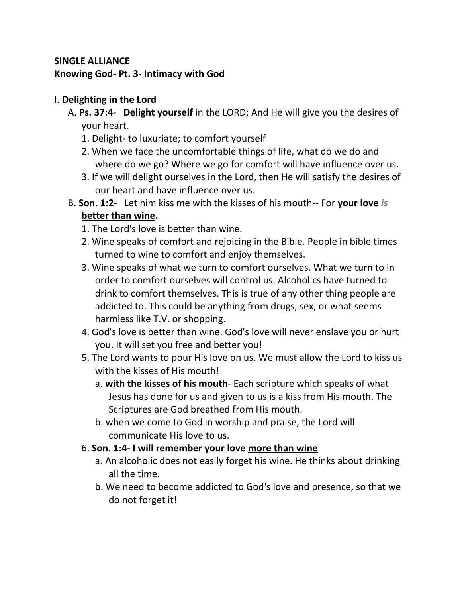# **SINGLE ALLIANCE Knowing God- Pt. 3- Intimacy with God**

# I. **Delighting in the Lord**

- A. **Ps. 37:4 Delight yourself** in the LORD; And He will give you the desires of your heart.
	- 1. Delight- to luxuriate; to comfort yourself
	- 2. When we face the uncomfortable things of life, what do we do and where do we go? Where we go for comfort will have influence over us.
	- 3. If we will delight ourselves in the Lord, then He will satisfy the desires of our heart and have influence over us.
- B. **Son. 1:2-** Let him kiss me with the kisses of his mouth-- For **your love** *is* **better than wine.**
	- 1. The Lord's love is better than wine.
	- 2. Wine speaks of comfort and rejoicing in the Bible. People in bible times turned to wine to comfort and enjoy themselves.
	- 3. Wine speaks of what we turn to comfort ourselves. What we turn to in order to comfort ourselves will control us. Alcoholics have turned to drink to comfort themselves. This is true of any other thing people are addicted to. This could be anything from drugs, sex, or what seems harmless like T.V. or shopping.
	- 4. God's love is better than wine. God's love will never enslave you or hurt you. It will set you free and better you!
	- 5. The Lord wants to pour His love on us. We must allow the Lord to kiss us with the kisses of His mouth!
		- a. **with the kisses of his mouth** Each scripture which speaks of what Jesus has done for us and given to us is a kiss from His mouth. The Scriptures are God breathed from His mouth.
		- b. when we come to God in worship and praise, the Lord will communicate His love to us.

## 6. **Son. 1:4- I will remember your love more than wine**

- a. An alcoholic does not easily forget his wine. He thinks about drinking all the time.
- b. We need to become addicted to God's love and presence, so that we do not forget it!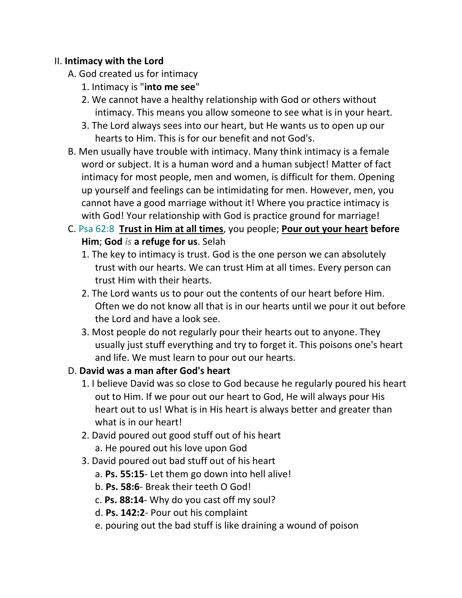#### II. **Intimacy with the Lord**

- A. God created us for intimacy
	- 1. Intimacy is "**into me see**"
	- 2. We cannot have a healthy relationship with God or others without intimacy. This means you allow someone to see what is in your heart.
	- 3. The Lord always sees into our heart, but He wants us to open up our hearts to Him. This is for our benefit and not God's.
- B. Men usually have trouble with intimacy. Many think intimacy is a female word or subject. It is a human word and a human subject! Matter of fact intimacy for most people, men and women, is difficult for them. Opening up yourself and feelings can be intimidating for men. However, men, you cannot have a good marriage without it! Where you practice intimacy is with God! Your relationship with God is practice ground for marriage!
- C. Psa 62:8 **Trust in Him at all times**, you people; **Pour out your heart before Him**; **God** *is* **a refuge for us**. Selah
	- 1. The key to intimacy is trust. God is the one person we can absolutely trust with our hearts. We can trust Him at all times. Every person can trust Him with their hearts.
	- 2. The Lord wants us to pour out the contents of our heart before Him. Often we do not know all that is in our hearts until we pour it out before the Lord and have a look see.
	- 3. Most people do not regularly pour their hearts out to anyone. They usually just stuff everything and try to forget it. This poisons one's heart and life. We must learn to pour out our hearts.

## D. **David was a man after God's heart**

- 1. I believe David was so close to God because he regularly poured his heart out to Him. If we pour out our heart to God, He will always pour His heart out to us! What is in His heart is always better and greater than what is in our heart!
- 2. David poured out good stuff out of his heart a. He poured out his love upon God
- 3. David poured out bad stuff out of his heart
	- a. **Ps. 55:15** Let them go down into hell alive!
	- b. **Ps. 58:6** Break their teeth O God!
	- c. **Ps. 88:14** Why do you cast off my soul?
	- d. **Ps. 142:2** Pour out his complaint
	- e. pouring out the bad stuff is like draining a wound of poison